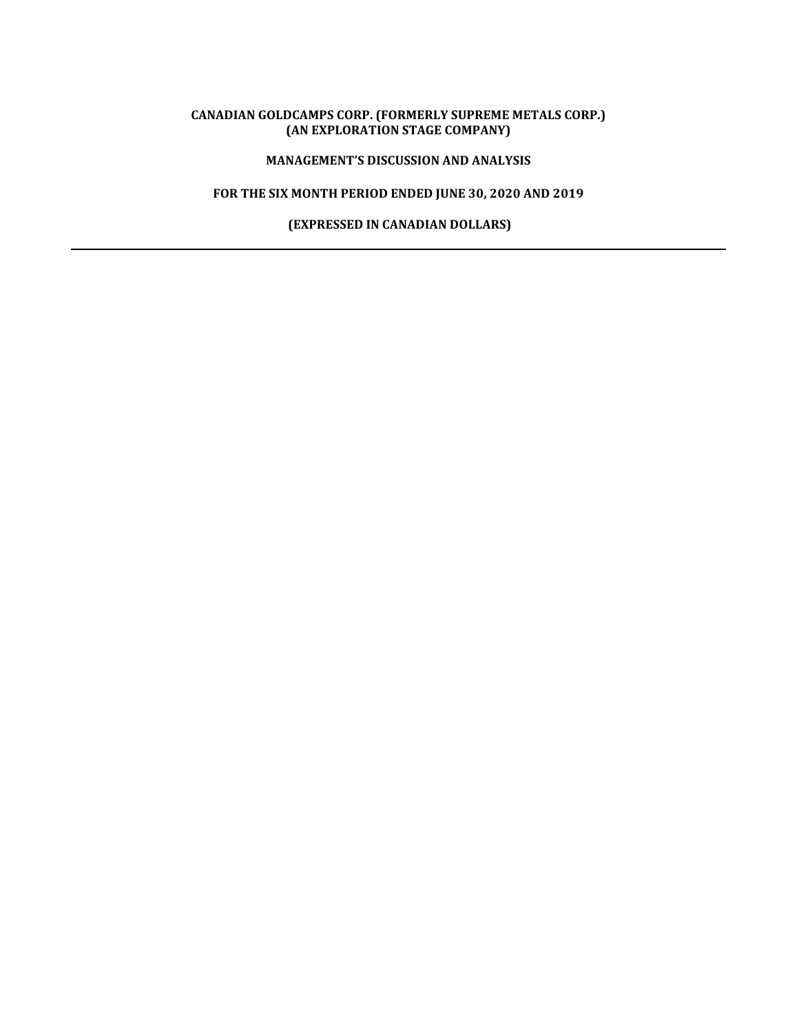# **CANADIAN GOLDCAMPS CORP. (FORMERLY SUPREME METALS CORP.) (AN EXPLORATION STAGE COMPANY)**

# **MANAGEMENT'S DISCUSSION AND ANALYSIS**

# **FOR THE SIX MONTH PERIOD ENDED JUNE 30, 2020 AND 2019**

 **(EXPRESSED IN CANADIAN DOLLARS)**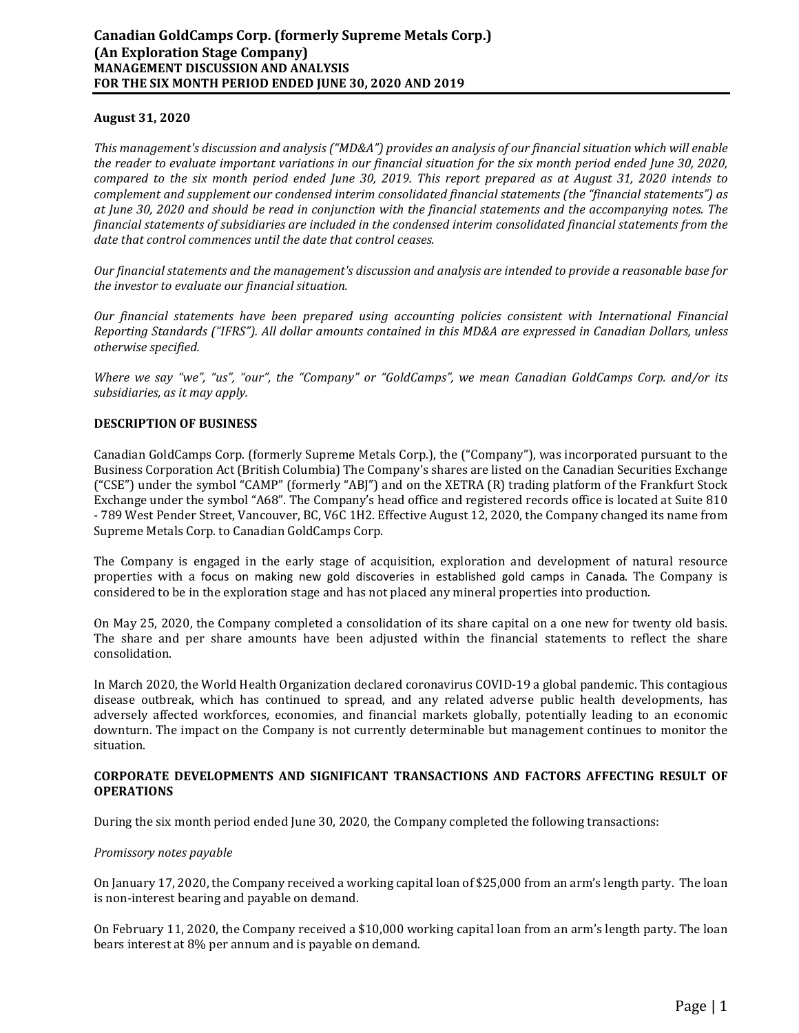## **August 31, 2020**

*This management's discussion and analysis ("MD&A") provides an analysis of our financial situation which will enable the reader to evaluate important variations in our financial situation for the six month period ended June 30, 2020, compared to the six month period ended June 30, 2019. This report prepared as at August 31, 2020 intends to complement and supplement our condensed interim consolidated financial statements (the "financial statements") as at June 30, 2020 and should be read in conjunction with the financial statements and the accompanying notes. The financial statements of subsidiaries are included in the condensed interim consolidated financial statements from the date that control commences until the date that control ceases.* 

*Our financial statements and the management's discussion and analysis are intended to provide a reasonable base for the investor to evaluate our financial situation.* 

*Our financial statements have been prepared using accounting policies consistent with International Financial Reporting Standards ("IFRS"). All dollar amounts contained in this MD&A are expressed in Canadian Dollars, unless otherwise specified.* 

*Where we say "we", "us", "our", the "Company" or "GoldCamps", we mean Canadian GoldCamps Corp. and/or its subsidiaries, as it may apply.* 

### **DESCRIPTION OF BUSINESS**

Canadian GoldCamps Corp. (formerly Supreme Metals Corp.), the ("Company"), was incorporated pursuant to the Business Corporation Act (British Columbia) The Company's shares are listed on the Canadian Securities Exchange ("CSE") under the symbol "CAMP" (formerly "ABJ") and on the XETRA (R) trading platform of the Frankfurt Stock Exchange under the symbol "A68". The Company's head office and registered records office is located at Suite 810 - 789 West Pender Street, Vancouver, BC, V6C 1H2. Effective August 12, 2020, the Company changed its name from Supreme Metals Corp. to Canadian GoldCamps Corp.

The Company is engaged in the early stage of acquisition, exploration and development of natural resource properties with a focus on making new gold discoveries in established gold camps in Canada. The Company is considered to be in the exploration stage and has not placed any mineral properties into production.

On May 25, 2020, the Company completed a consolidation of its share capital on a one new for twenty old basis. The share and per share amounts have been adjusted within the financial statements to reflect the share consolidation.

In March 2020, the World Health Organization declared coronavirus COVID-19 a global pandemic. This contagious disease outbreak, which has continued to spread, and any related adverse public health developments, has adversely affected workforces, economies, and financial markets globally, potentially leading to an economic downturn. The impact on the Company is not currently determinable but management continues to monitor the situation.

### **CORPORATE DEVELOPMENTS AND SIGNIFICANT TRANSACTIONS AND FACTORS AFFECTING RESULT OF OPERATIONS**

During the six month period ended June 30, 2020, the Company completed the following transactions:

#### *Promissory notes payable*

On January 17, 2020, the Company received a working capital loan of \$25,000 from an arm's length party. The loan is non-interest bearing and payable on demand.

On February 11, 2020, the Company received a \$10,000 working capital loan from an arm's length party. The loan bears interest at 8% per annum and is payable on demand.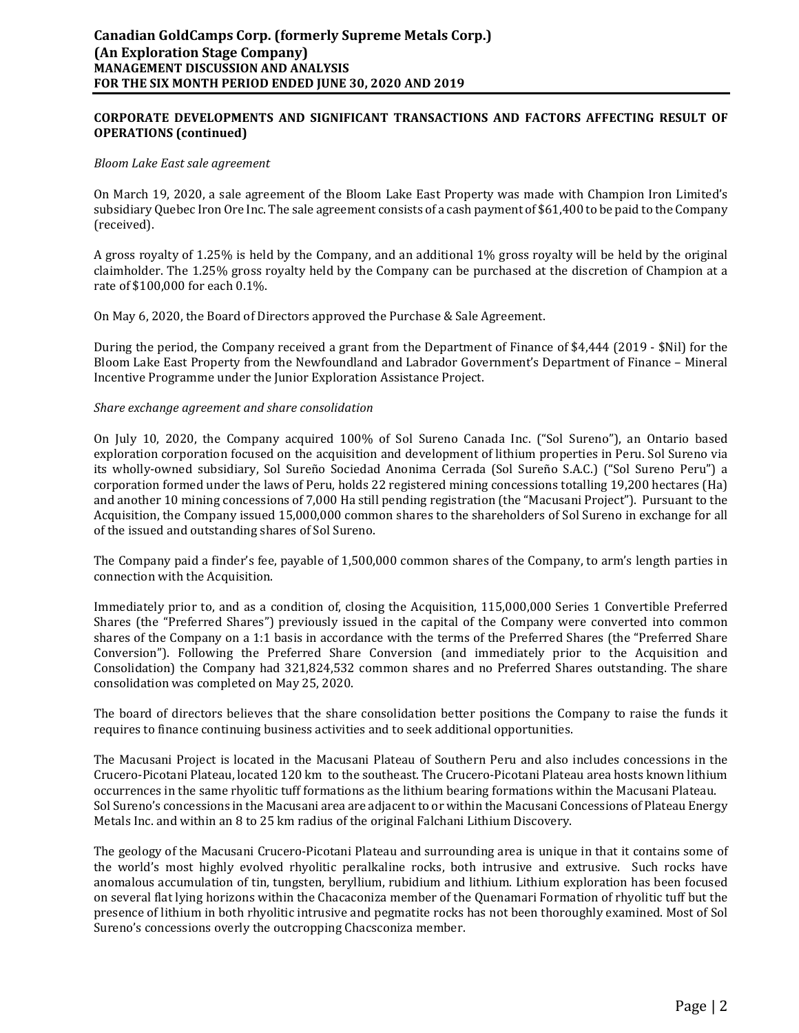## **CORPORATE DEVELOPMENTS AND SIGNIFICANT TRANSACTIONS AND FACTORS AFFECTING RESULT OF OPERATIONS (continued)**

#### *Bloom Lake East sale agreement*

On March 19, 2020, a sale agreement of the Bloom Lake East Property was made with Champion Iron Limited's subsidiary Quebec Iron Ore Inc. The sale agreement consists of a cash payment of \$61,400 to be paid to the Company (received).

A gross royalty of 1.25% is held by the Company, and an additional 1% gross royalty will be held by the original claimholder. The 1.25% gross royalty held by the Company can be purchased at the discretion of Champion at a rate of \$100,000 for each 0.1%.

On May 6, 2020, the Board of Directors approved the Purchase & Sale Agreement.

During the period, the Company received a grant from the Department of Finance of \$4,444 (2019 - \$Nil) for the Bloom Lake East Property from the Newfoundland and Labrador Government's Department of Finance – Mineral Incentive Programme under the Junior Exploration Assistance Project.

#### *Share exchange agreement and share consolidation*

On July 10, 2020, the Company acquired 100% of Sol Sureno Canada Inc. ("Sol Sureno"), an Ontario based exploration corporation focused on the acquisition and development of lithium properties in Peru. Sol Sureno via its wholly-owned subsidiary, Sol Sureño Sociedad Anonima Cerrada (Sol Sureño S.A.C.) ("Sol Sureno Peru") a corporation formed under the laws of Peru, holds 22 registered mining concessions totalling 19,200 hectares (Ha) and another 10 mining concessions of 7,000 Ha still pending registration (the "Macusani Project"). Pursuant to the Acquisition, the Company issued 15,000,000 common shares to the shareholders of Sol Sureno in exchange for all of the issued and outstanding shares of Sol Sureno.

The Company paid a finder's fee, payable of 1,500,000 common shares of the Company, to arm's length parties in connection with the Acquisition.

Immediately prior to, and as a condition of, closing the Acquisition, 115,000,000 Series 1 Convertible Preferred Shares (the "Preferred Shares") previously issued in the capital of the Company were converted into common shares of the Company on a 1:1 basis in accordance with the terms of the Preferred Shares (the "Preferred Share Conversion"). Following the Preferred Share Conversion (and immediately prior to the Acquisition and Consolidation) the Company had 321,824,532 common shares and no Preferred Shares outstanding. The share consolidation was completed on May 25, 2020.

The board of directors believes that the share consolidation better positions the Company to raise the funds it requires to finance continuing business activities and to seek additional opportunities.

The Macusani Project is located in the Macusani Plateau of Southern Peru and also includes concessions in the Crucero-Picotani Plateau, located 120 km to the southeast. The Crucero-Picotani Plateau area hosts known lithium occurrences in the same rhyolitic tuff formations as the lithium bearing formations within the Macusani Plateau. Sol Sureno's concessions in the Macusani area are adjacent to or within the Macusani Concessions of Plateau Energy Metals Inc. and within an 8 to 25 km radius of the original Falchani Lithium Discovery.

The geology of the Macusani Crucero-Picotani Plateau and surrounding area is unique in that it contains some of the world's most highly evolved rhyolitic peralkaline rocks, both intrusive and extrusive. Such rocks have anomalous accumulation of tin, tungsten, beryllium, rubidium and lithium. Lithium exploration has been focused on several flat lying horizons within the Chacaconiza member of the Quenamari Formation of rhyolitic tuff but the presence of lithium in both rhyolitic intrusive and pegmatite rocks has not been thoroughly examined. Most of Sol Sureno's concessions overly the outcropping Chacsconiza member.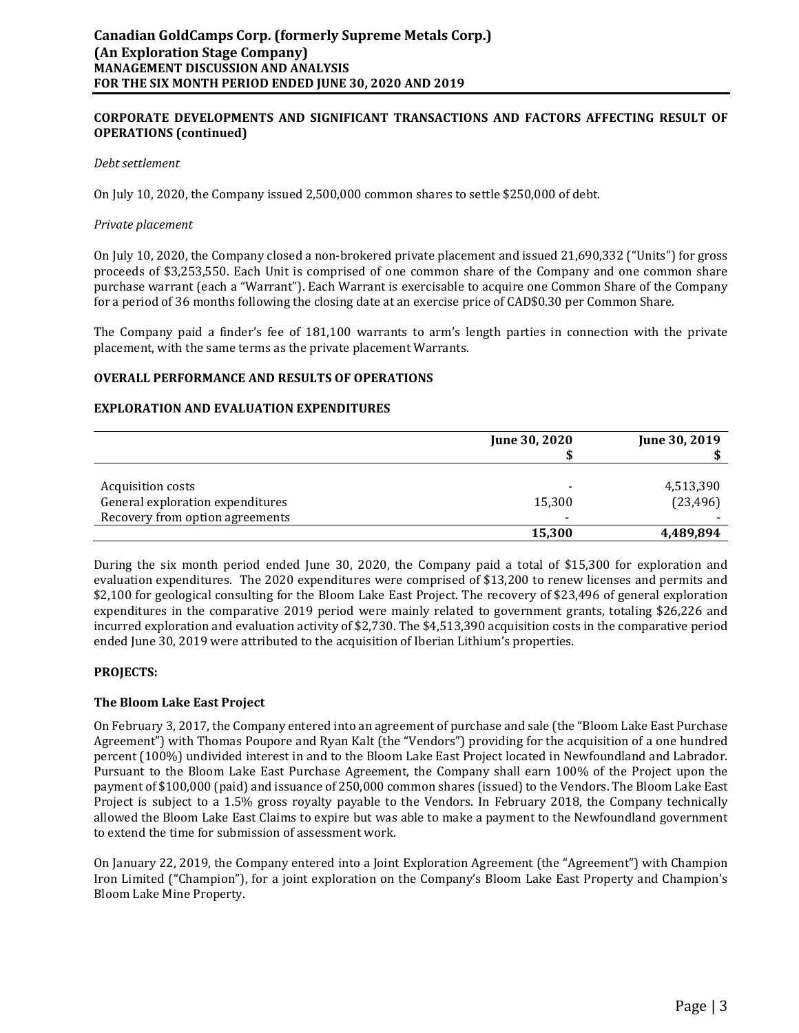### **CORPORATE DEVELOPMENTS AND SIGNIFICANT TRANSACTIONS AND FACTORS AFFECTING RESULT OF OPERATIONS (continued)**

#### *Debt settlement*

On July 10, 2020, the Company issued 2,500,000 common shares to settle \$250,000 of debt.

#### *Private placement*

On July 10, 2020, the Company closed a non-brokered private placement and issued 21,690,332 ("Units") for gross proceeds of \$3,253,550. Each Unit is comprised of one common share of the Company and one common share purchase warrant (each a "Warrant"). Each Warrant is exercisable to acquire one Common Share of the Company for a period of 36 months following the closing date at an exercise price of CAD\$0.30 per Common Share.

The Company paid a finder's fee of 181,100 warrants to arm's length parties in connection with the private placement, with the same terms as the private placement Warrants.

### **OVERALL PERFORMANCE AND RESULTS OF OPERATIONS**

#### **EXPLORATION AND EVALUATION EXPENDITURES**

|                                                                                          | June 30, 2020                      | June 30, 2019          |
|------------------------------------------------------------------------------------------|------------------------------------|------------------------|
| Acquisition costs<br>General exploration expenditures<br>Recovery from option agreements | $\overline{\phantom{a}}$<br>15,300 | 4,513,390<br>(23, 496) |
|                                                                                          | 15,300                             | 4,489,894              |

During the six month period ended June 30, 2020, the Company paid a total of \$15,300 for exploration and evaluation expenditures. The 2020 expenditures were comprised of \$13,200 to renew licenses and permits and \$2,100 for geological consulting for the Bloom Lake East Project. The recovery of \$23,496 of general exploration expenditures in the comparative 2019 period were mainly related to government grants, totaling \$26,226 and incurred exploration and evaluation activity of \$2,730. The \$4,513,390 acquisition costs in the comparative period ended June 30, 2019 were attributed to the acquisition of Iberian Lithium's properties.

### **PROJECTS:**

### **The Bloom Lake East Project**

On February 3, 2017, the Company entered into an agreement of purchase and sale (the "Bloom Lake East Purchase Agreement") with Thomas Poupore and Ryan Kalt (the "Vendors") providing for the acquisition of a one hundred percent (100%) undivided interest in and to the Bloom Lake East Project located in Newfoundland and Labrador. Pursuant to the Bloom Lake East Purchase Agreement, the Company shall earn 100% of the Project upon the payment of \$100,000 (paid) and issuance of 250,000 common shares (issued) to the Vendors. The Bloom Lake East Project is subject to a 1.5% gross royalty payable to the Vendors. In February 2018, the Company technically allowed the Bloom Lake East Claims to expire but was able to make a payment to the Newfoundland government to extend the time for submission of assessment work.

On January 22, 2019, the Company entered into a Joint Exploration Agreement (the "Agreement") with Champion Iron Limited ("Champion"), for a joint exploration on the Company's Bloom Lake East Property and Champion's Bloom Lake Mine Property.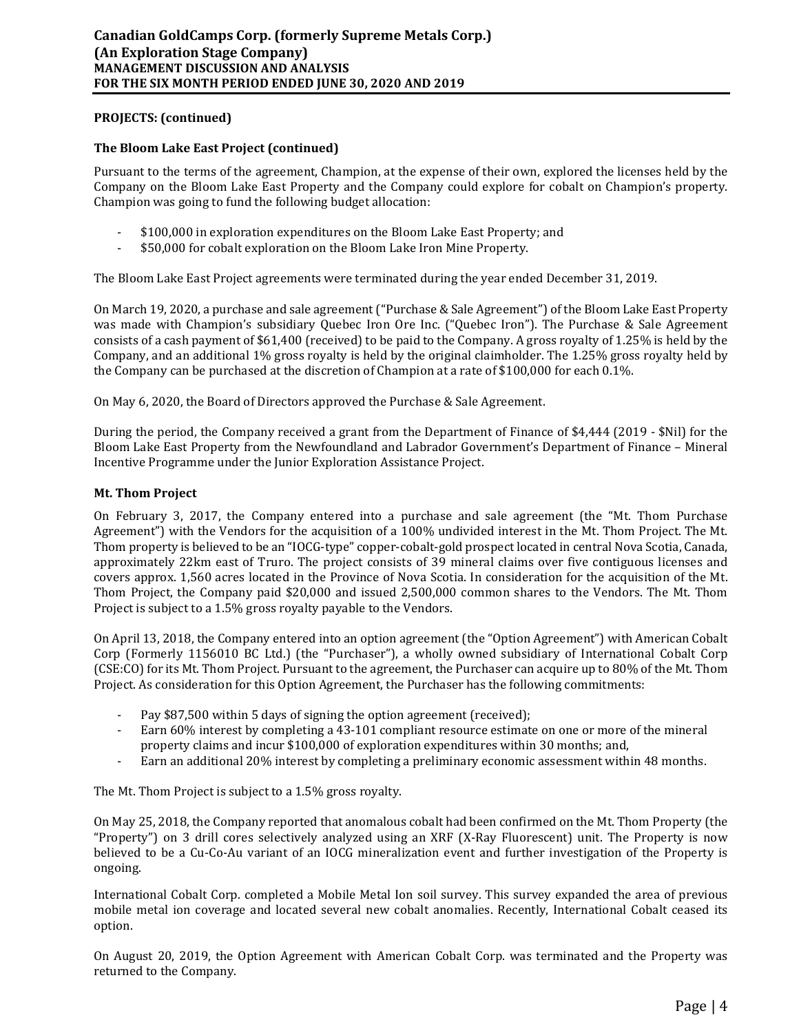### **PROJECTS: (continued)**

### **The Bloom Lake East Project (continued)**

Pursuant to the terms of the agreement, Champion, at the expense of their own, explored the licenses held by the Company on the Bloom Lake East Property and the Company could explore for cobalt on Champion's property. Champion was going to fund the following budget allocation:

- \$100,000 in exploration expenditures on the Bloom Lake East Property; and
- \$50,000 for cobalt exploration on the Bloom Lake Iron Mine Property.

The Bloom Lake East Project agreements were terminated during the year ended December 31, 2019.

On March 19, 2020, a purchase and sale agreement ("Purchase & Sale Agreement") of the Bloom Lake East Property was made with Champion's subsidiary Quebec Iron Ore Inc. ("Quebec Iron"). The Purchase & Sale Agreement consists of a cash payment of \$61,400 (received) to be paid to the Company. A gross royalty of 1.25% is held by the Company, and an additional 1% gross royalty is held by the original claimholder. The 1.25% gross royalty held by the Company can be purchased at the discretion of Champion at a rate of \$100,000 for each 0.1%.

On May 6, 2020, the Board of Directors approved the Purchase & Sale Agreement.

During the period, the Company received a grant from the Department of Finance of \$4,444 (2019 - \$Nil) for the Bloom Lake East Property from the Newfoundland and Labrador Government's Department of Finance – Mineral Incentive Programme under the Junior Exploration Assistance Project.

### **Mt. Thom Project**

On February 3, 2017, the Company entered into a purchase and sale agreement (the "Mt. Thom Purchase Agreement") with the Vendors for the acquisition of a 100% undivided interest in the Mt. Thom Project. The Mt. Thom property is believed to be an "IOCG-type" copper-cobalt-gold prospect located in central Nova Scotia, Canada, approximately 22km east of Truro. The project consists of 39 mineral claims over five contiguous licenses and covers approx. 1,560 acres located in the Province of Nova Scotia. In consideration for the acquisition of the Mt. Thom Project, the Company paid \$20,000 and issued 2,500,000 common shares to the Vendors. The Mt. Thom Project is subject to a 1.5% gross royalty payable to the Vendors.

On April 13, 2018, the Company entered into an option agreement (the "Option Agreement") with American Cobalt Corp (Formerly 1156010 BC Ltd.) (the "Purchaser"), a wholly owned subsidiary of International Cobalt Corp (CSE:CO) for its Mt. Thom Project. Pursuant to the agreement, the Purchaser can acquire up to 80% of the Mt. Thom Project. As consideration for this Option Agreement, the Purchaser has the following commitments:

- Pay \$87,500 within 5 days of signing the option agreement (received);
- Earn 60% interest by completing a 43-101 compliant resource estimate on one or more of the mineral property claims and incur \$100,000 of exploration expenditures within 30 months; and,
- Earn an additional 20% interest by completing a preliminary economic assessment within 48 months.

The Mt. Thom Project is subject to a 1.5% gross royalty.

On May 25, 2018, the Company reported that anomalous cobalt had been confirmed on the Mt. Thom Property (the "Property") on 3 drill cores selectively analyzed using an XRF (X-Ray Fluorescent) unit. The Property is now believed to be a Cu-Co-Au variant of an IOCG mineralization event and further investigation of the Property is ongoing.

International Cobalt Corp. completed a Mobile Metal Ion soil survey. This survey expanded the area of previous mobile metal ion coverage and located several new cobalt anomalies. Recently, International Cobalt ceased its option.

On August 20, 2019, the Option Agreement with American Cobalt Corp. was terminated and the Property was returned to the Company.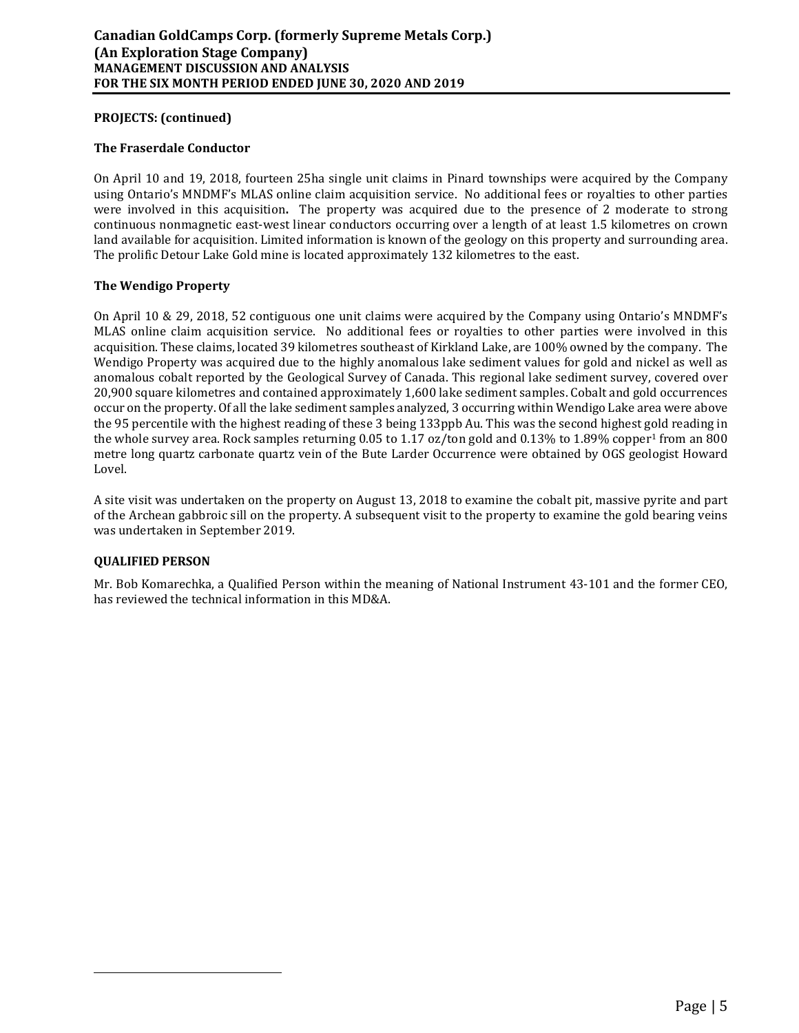## **PROJECTS: (continued)**

### **The Fraserdale Conductor**

On April 10 and 19, 2018, fourteen 25ha single unit claims in Pinard townships were acquired by the Company using Ontario's MNDMF's MLAS online claim acquisition service. No additional fees or royalties to other parties were involved in this acquisition**.** The property was acquired due to the presence of 2 moderate to strong continuous nonmagnetic east-west linear conductors occurring over a length of at least 1.5 kilometres on crown land available for acquisition. Limited information is known of the geology on this property and surrounding area. The prolific Detour Lake Gold mine is located approximately 132 kilometres to the east.

## **The Wendigo Property**

On April 10 & 29, 2018, 52 contiguous one unit claims were acquired by the Company using Ontario's MNDMF's MLAS online claim acquisition service. No additional fees or royalties to other parties were involved in this acquisition. These claims, located 39 kilometres southeast of Kirkland Lake, are 100% owned by the company. The Wendigo Property was acquired due to the highly anomalous lake sediment values for gold and nickel as well as anomalous cobalt reported by the Geological Survey of Canada. This regional lake sediment survey, covered over 20,900 square kilometres and contained approximately 1,600 lake sediment samples. Cobalt and gold occurrences occur on the property. Of all the lake sediment samples analyzed, 3 occurring within Wendigo Lake area were above the 95 percentile with the highest reading of these 3 being 133ppb Au. This was the second highest gold reading in the whole survey area. Rock samples returning 0.05 to 1.17 oz/ton gold and 0.13% to 1.89% copper<sup>1</sup> from an 800 metre long quartz carbonate quartz vein of the Bute Larder Occurrence were obtained by OGS geologist Howard Lovel.

A site visit was undertaken on the property on August 13, 2018 to examine the cobalt pit, massive pyrite and part of the Archean gabbroic sill on the property. A subsequent visit to the property to examine the gold bearing veins was undertaken in September 2019.

### **QUALIFIED PERSON**

Mr. Bob Komarechka, a Qualified Person within the meaning of National Instrument 43-101 and the former CEO, has reviewed the technical information in this MD&A.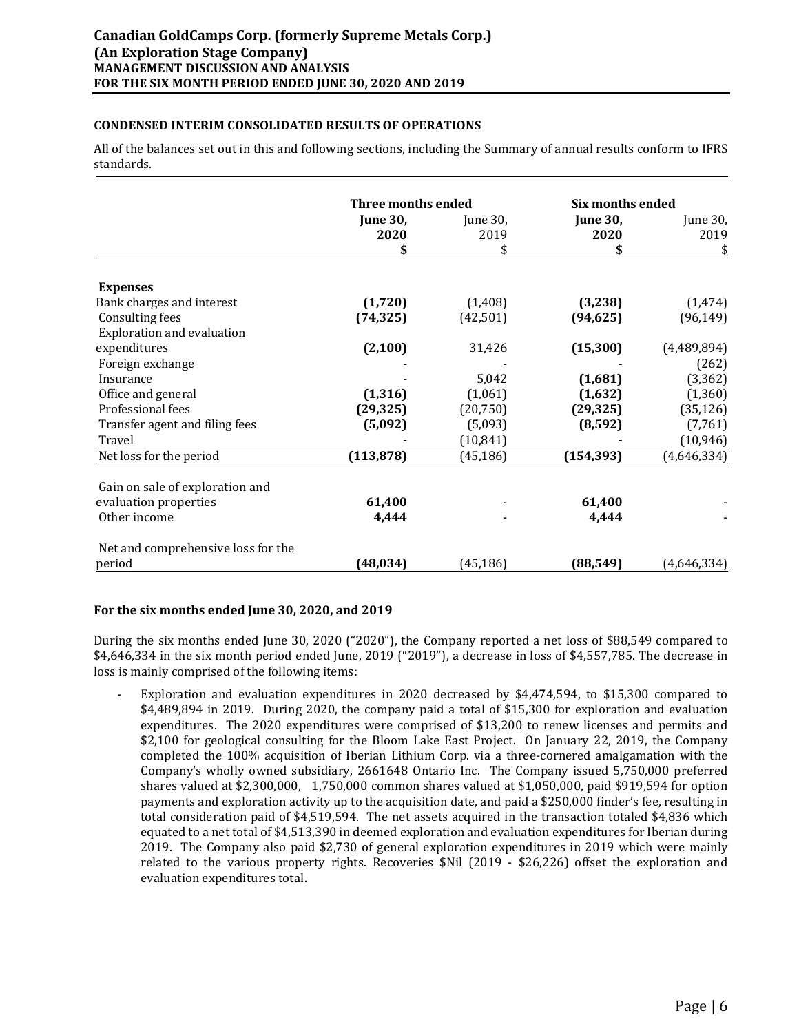## **CONDENSED INTERIM CONSOLIDATED RESULTS OF OPERATIONS**

All of the balances set out in this and following sections, including the Summary of annual results conform to IFRS standards.

|                                    | <b>Three months ended</b> |                  | <b>Six months ended</b> |                  |
|------------------------------------|---------------------------|------------------|-------------------------|------------------|
|                                    | <b>June 30,</b><br>2020   | June 30,<br>2019 | <b>June 30,</b><br>2020 | June 30,<br>2019 |
|                                    | \$                        | \$               | \$                      | \$               |
| <b>Expenses</b>                    |                           |                  |                         |                  |
| Bank charges and interest          | (1,720)                   | (1, 408)         | (3,238)                 | (1, 474)         |
| <b>Consulting fees</b>             | (74, 325)                 | (42, 501)        | (94, 625)               | (96, 149)        |
| <b>Exploration and evaluation</b>  |                           |                  |                         |                  |
| expenditures                       | (2, 100)                  | 31,426           | (15, 300)               | (4,489,894)      |
| Foreign exchange                   |                           |                  |                         | (262)            |
| Insurance                          |                           | 5,042            | (1,681)                 | (3, 362)         |
| Office and general                 | (1, 316)                  | (1,061)          | (1,632)                 | (1, 360)         |
| Professional fees                  | (29, 325)                 | (20, 750)        | (29, 325)               | (35, 126)        |
| Transfer agent and filing fees     | (5,092)                   | (5,093)          | (8, 592)                | (7,761)          |
| Travel                             |                           | (10, 841)        |                         | (10, 946)        |
| Net loss for the period            | (113, 878)                | (45, 186)        | (154, 393)              | (4,646,334)      |
| Gain on sale of exploration and    |                           |                  |                         |                  |
| evaluation properties              | 61,400                    |                  | 61,400                  |                  |
| Other income                       | 4,444                     |                  | 4,444                   |                  |
| Net and comprehensive loss for the |                           |                  |                         |                  |
| period                             | (48, 034)                 | (45, 186)        | (88, 549)               | (4,646,334)      |

### **For the six months ended June 30, 2020, and 2019**

During the six months ended June 30, 2020 ("2020"), the Company reported a net loss of \$88,549 compared to \$4,646,334 in the six month period ended June, 2019 ("2019"), a decrease in loss of \$4,557,785. The decrease in loss is mainly comprised of the following items:

Exploration and evaluation expenditures in 2020 decreased by \$4,474,594, to \$15,300 compared to \$4,489,894 in 2019. During 2020, the company paid a total of \$15,300 for exploration and evaluation expenditures. The 2020 expenditures were comprised of \$13,200 to renew licenses and permits and \$2,100 for geological consulting for the Bloom Lake East Project. On January 22, 2019, the Company completed the 100% acquisition of Iberian Lithium Corp. via a three-cornered amalgamation with the Company's wholly owned subsidiary, 2661648 Ontario Inc. The Company issued 5,750,000 preferred shares valued at \$2,300,000, 1,750,000 common shares valued at \$1,050,000, paid \$919,594 for option payments and exploration activity up to the acquisition date, and paid a \$250,000 finder's fee, resulting in total consideration paid of \$4,519,594. The net assets acquired in the transaction totaled \$4,836 which equated to a net total of \$4,513,390 in deemed exploration and evaluation expenditures for Iberian during 2019. The Company also paid \$2,730 of general exploration expenditures in 2019 which were mainly related to the various property rights. Recoveries \$Nil (2019 - \$26,226) offset the exploration and evaluation expenditures total.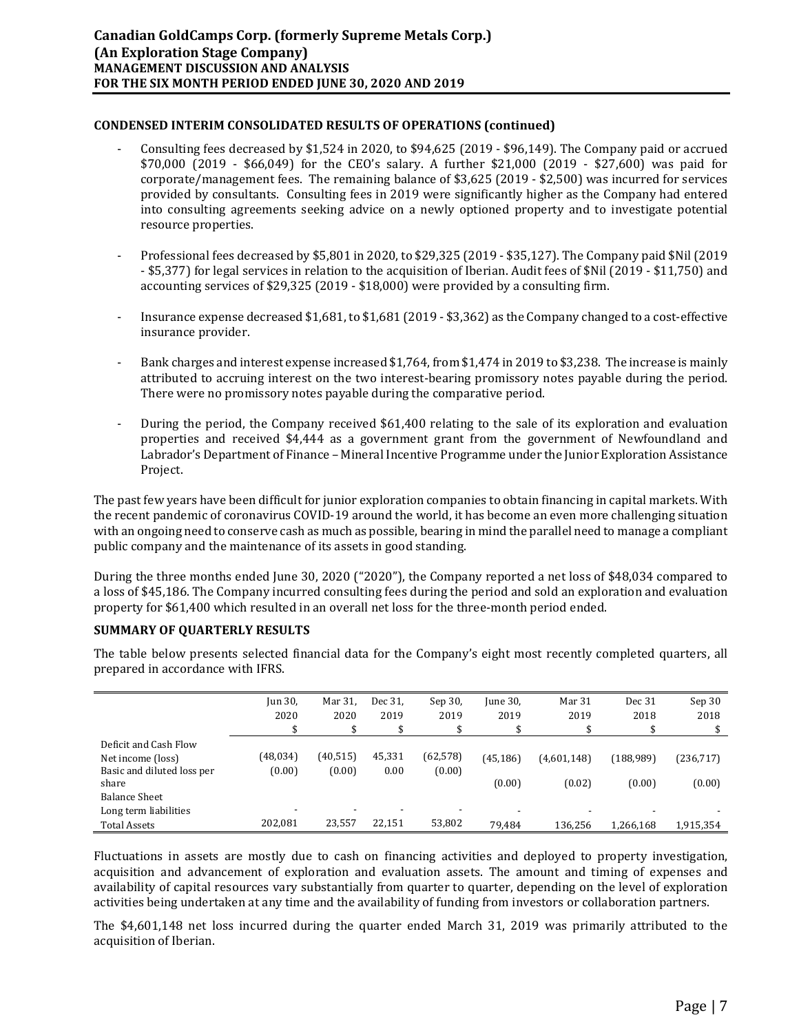## **CONDENSED INTERIM CONSOLIDATED RESULTS OF OPERATIONS (continued)**

- Consulting fees decreased by \$1,524 in 2020, to \$94,625 (2019 \$96,149). The Company paid or accrued \$70,000 (2019 - \$66,049) for the CEO's salary. A further \$21,000 (2019 - \$27,600) was paid for corporate/management fees. The remaining balance of \$3,625 (2019 - \$2,500) was incurred for services provided by consultants. Consulting fees in 2019 were significantly higher as the Company had entered into consulting agreements seeking advice on a newly optioned property and to investigate potential resource properties.
- Professional fees decreased by \$5,801 in 2020, to \$29,325 (2019 \$35,127). The Company paid \$Nil (2019 - \$5,377) for legal services in relation to the acquisition of Iberian. Audit fees of \$Nil (2019 - \$11,750) and accounting services of \$29,325 (2019 - \$18,000) were provided by a consulting firm.
- Insurance expense decreased \$1,681, to \$1,681 (2019 \$3,362) as the Company changed to a cost-effective insurance provider.
- Bank charges and interest expense increased \$1,764, from \$1,474 in 2019 to \$3,238. The increase is mainly attributed to accruing interest on the two interest-bearing promissory notes payable during the period. There were no promissory notes payable during the comparative period.
- During the period, the Company received \$61,400 relating to the sale of its exploration and evaluation properties and received \$4,444 as a government grant from the government of Newfoundland and Labrador's Department of Finance – Mineral Incentive Programme under the Junior Exploration Assistance Project.

The past few years have been difficult for junior exploration companies to obtain financing in capital markets. With the recent pandemic of coronavirus COVID-19 around the world, it has become an even more challenging situation with an ongoing need to conserve cash as much as possible, bearing in mind the parallel need to manage a compliant public company and the maintenance of its assets in good standing.

During the three months ended June 30, 2020 ("2020"), the Company reported a net loss of \$48,034 compared to a loss of \$45,186. The Company incurred consulting fees during the period and sold an exploration and evaluation property for \$61,400 which resulted in an overall net loss for the three-month period ended.

# **SUMMARY OF QUARTERLY RESULTS**

The table below presents selected financial data for the Company's eight most recently completed quarters, all prepared in accordance with IFRS.

|                                                                                   | Jun 30,<br>2020    | Mar 31,<br>2020     | Dec 31,<br>2019<br>\$ | Sep 30,<br>2019     | June 30,<br>2019    | Mar 31<br>2019<br>\$                | Dec 31<br>2018      | Sep 30<br>2018       |
|-----------------------------------------------------------------------------------|--------------------|---------------------|-----------------------|---------------------|---------------------|-------------------------------------|---------------------|----------------------|
| Deficit and Cash Flow<br>Net income (loss)<br>Basic and diluted loss per<br>share | (48,034)<br>(0.00) | (40, 515)<br>(0.00) | 45,331<br>0.00        | (62, 578)<br>(0.00) | (45, 186)<br>(0.00) | (4,601,148)<br>(0.02)               | (188,989)<br>(0.00) | (236, 717)<br>(0.00) |
| <b>Balance Sheet</b><br>Long term liabilities<br><b>Total Assets</b>              | 202.081            | 23,557              | 22,151                | 53,802              | 79.484              | $\overline{\phantom{0}}$<br>136,256 | 1,266,168           | 1,915,354            |

Fluctuations in assets are mostly due to cash on financing activities and deployed to property investigation, acquisition and advancement of exploration and evaluation assets. The amount and timing of expenses and availability of capital resources vary substantially from quarter to quarter, depending on the level of exploration activities being undertaken at any time and the availability of funding from investors or collaboration partners.

The \$4,601,148 net loss incurred during the quarter ended March 31, 2019 was primarily attributed to the acquisition of Iberian.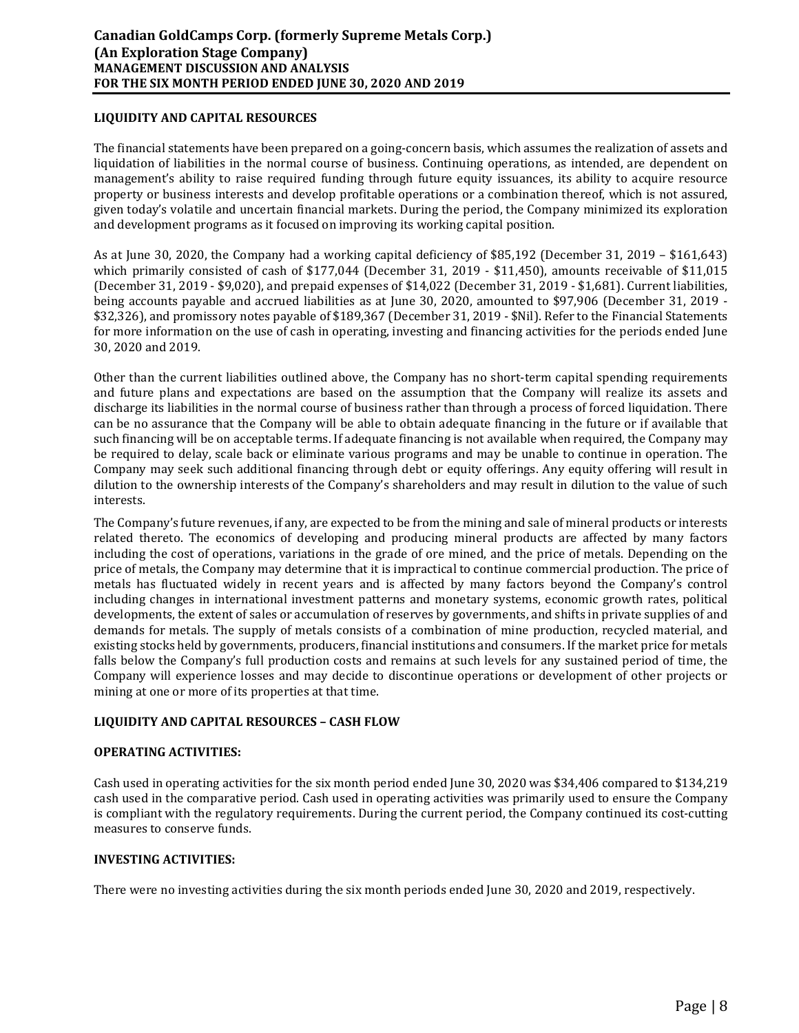## **LIQUIDITY AND CAPITAL RESOURCES**

The financial statements have been prepared on a going-concern basis, which assumes the realization of assets and liquidation of liabilities in the normal course of business. Continuing operations, as intended, are dependent on management's ability to raise required funding through future equity issuances, its ability to acquire resource property or business interests and develop profitable operations or a combination thereof, which is not assured, given today's volatile and uncertain financial markets. During the period, the Company minimized its exploration and development programs as it focused on improving its working capital position.

As at June 30, 2020, the Company had a working capital deficiency of \$85,192 (December 31, 2019 – \$161,643) which primarily consisted of cash of \$177,044 (December 31, 2019 - \$11,450), amounts receivable of \$11,015 (December 31, 2019 - \$9,020), and prepaid expenses of \$14,022 (December 31, 2019 - \$1,681). Current liabilities, being accounts payable and accrued liabilities as at June 30, 2020, amounted to \$97,906 (December 31, 2019 - \$32,326), and promissory notes payable of \$189,367 (December 31, 2019 - \$Nil). Refer to the Financial Statements for more information on the use of cash in operating, investing and financing activities for the periods ended June 30, 2020 and 2019.

Other than the current liabilities outlined above, the Company has no short-term capital spending requirements and future plans and expectations are based on the assumption that the Company will realize its assets and discharge its liabilities in the normal course of business rather than through a process of forced liquidation. There can be no assurance that the Company will be able to obtain adequate financing in the future or if available that such financing will be on acceptable terms. If adequate financing is not available when required, the Company may be required to delay, scale back or eliminate various programs and may be unable to continue in operation. The Company may seek such additional financing through debt or equity offerings. Any equity offering will result in dilution to the ownership interests of the Company's shareholders and may result in dilution to the value of such interests.

The Company's future revenues, if any, are expected to be from the mining and sale of mineral products or interests related thereto. The economics of developing and producing mineral products are affected by many factors including the cost of operations, variations in the grade of ore mined, and the price of metals. Depending on the price of metals, the Company may determine that it is impractical to continue commercial production. The price of metals has fluctuated widely in recent years and is affected by many factors beyond the Company's control including changes in international investment patterns and monetary systems, economic growth rates, political developments, the extent of sales or accumulation of reserves by governments, and shifts in private supplies of and demands for metals. The supply of metals consists of a combination of mine production, recycled material, and existing stocks held by governments, producers, financial institutions and consumers. If the market price for metals falls below the Company's full production costs and remains at such levels for any sustained period of time, the Company will experience losses and may decide to discontinue operations or development of other projects or mining at one or more of its properties at that time.

# **LIQUIDITY AND CAPITAL RESOURCES – CASH FLOW**

### **OPERATING ACTIVITIES:**

Cash used in operating activities for the six month period ended June 30, 2020 was \$34,406 compared to \$134,219 cash used in the comparative period. Cash used in operating activities was primarily used to ensure the Company is compliant with the regulatory requirements. During the current period, the Company continued its cost-cutting measures to conserve funds.

### **INVESTING ACTIVITIES:**

There were no investing activities during the six month periods ended June 30, 2020 and 2019, respectively.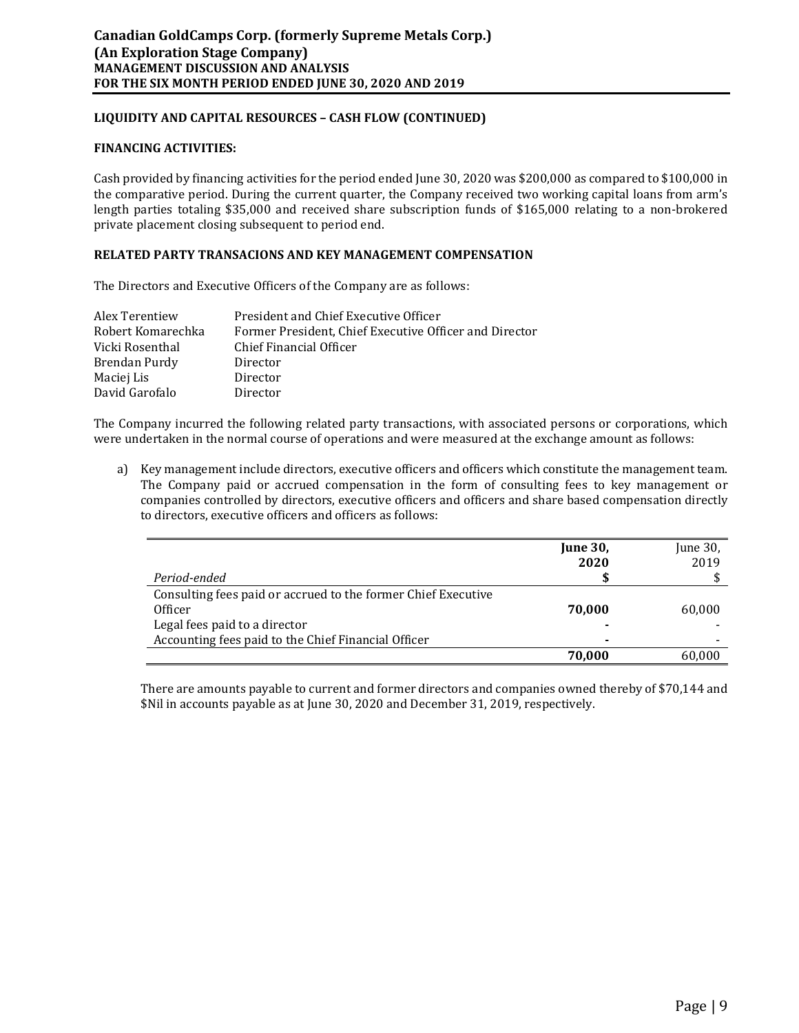## **LIQUIDITY AND CAPITAL RESOURCES – CASH FLOW (CONTINUED)**

#### **FINANCING ACTIVITIES:**

Cash provided by financing activities for the period ended June 30, 2020 was \$200,000 as compared to \$100,000 in the comparative period. During the current quarter, the Company received two working capital loans from arm's length parties totaling \$35,000 and received share subscription funds of \$165,000 relating to a non-brokered private placement closing subsequent to period end.

### **RELATED PARTY TRANSACIONS AND KEY MANAGEMENT COMPENSATION**

The Directors and Executive Officers of the Company are as follows:

| Alex Terentiew    | President and Chief Executive Officer                  |
|-------------------|--------------------------------------------------------|
| Robert Komarechka | Former President, Chief Executive Officer and Director |
| Vicki Rosenthal   | Chief Financial Officer                                |
| Brendan Purdy     | Director                                               |
| Maciej Lis        | Director                                               |
| David Garofalo    | Director                                               |

The Company incurred the following related party transactions, with associated persons or corporations, which were undertaken in the normal course of operations and were measured at the exchange amount as follows:

a) Key management include directors, executive officers and officers which constitute the management team. The Company paid or accrued compensation in the form of consulting fees to key management or companies controlled by directors, executive officers and officers and share based compensation directly to directors, executive officers and officers as follows:

|                                                               | <b>June 30,</b> | June 30, |
|---------------------------------------------------------------|-----------------|----------|
|                                                               | 2020            | 2019     |
| Period-ended                                                  |                 |          |
| Consulting fees paid or accrued to the former Chief Executive |                 |          |
| Officer                                                       | 70.000          | 60.000   |
| Legal fees paid to a director                                 |                 |          |
| Accounting fees paid to the Chief Financial Officer           |                 |          |
|                                                               | 70.000          | 60.000   |

There are amounts payable to current and former directors and companies owned thereby of \$70,144 and \$Nil in accounts payable as at June 30, 2020 and December 31, 2019, respectively.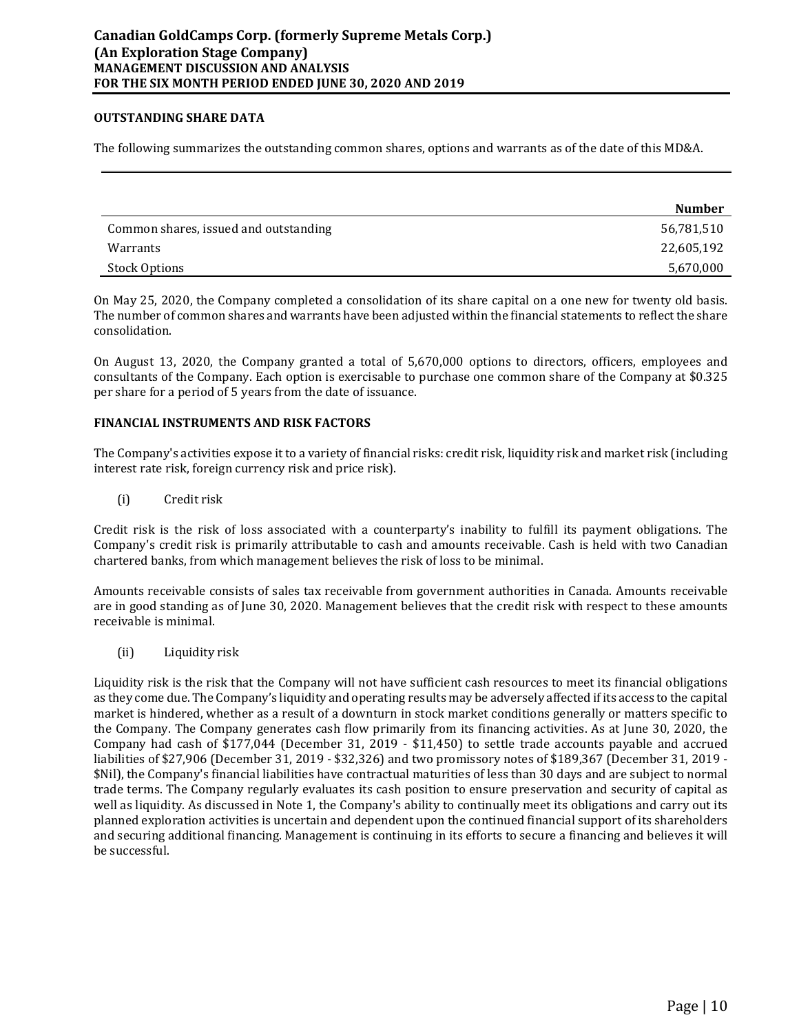### **OUTSTANDING SHARE DATA**

The following summarizes the outstanding common shares, options and warrants as of the date of this MD&A.

|                                       | <b>Number</b> |
|---------------------------------------|---------------|
| Common shares, issued and outstanding | 56,781,510    |
| Warrants                              | 22,605,192    |
| Stock Options                         | 5,670,000     |

On May 25, 2020, the Company completed a consolidation of its share capital on a one new for twenty old basis. The number of common shares and warrants have been adjusted within the financial statements to reflect the share consolidation.

On August 13, 2020, the Company granted a total of 5,670,000 options to directors, officers, employees and consultants of the Company. Each option is exercisable to purchase one common share of the Company at \$0.325 per share for a period of 5 years from the date of issuance.

### **FINANCIAL INSTRUMENTS AND RISK FACTORS**

The Company's activities expose it to a variety of financial risks: credit risk, liquidity risk and market risk (including interest rate risk, foreign currency risk and price risk).

(i) Credit risk

Credit risk is the risk of loss associated with a counterparty's inability to fulfill its payment obligations. The Company's credit risk is primarily attributable to cash and amounts receivable. Cash is held with two Canadian chartered banks, from which management believes the risk of loss to be minimal.

Amounts receivable consists of sales tax receivable from government authorities in Canada. Amounts receivable are in good standing as of June 30, 2020. Management believes that the credit risk with respect to these amounts receivable is minimal.

(ii) Liquidity risk

Liquidity risk is the risk that the Company will not have sufficient cash resources to meet its financial obligations as they come due. The Company's liquidity and operating results may be adversely affected if its access to the capital market is hindered, whether as a result of a downturn in stock market conditions generally or matters specific to the Company. The Company generates cash flow primarily from its financing activities. As at June 30, 2020, the Company had cash of \$177,044 (December 31, 2019 - \$11,450) to settle trade accounts payable and accrued liabilities of \$27,906 (December 31, 2019 - \$32,326) and two promissory notes of \$189,367 (December 31, 2019 - \$Nil), the Company's financial liabilities have contractual maturities of less than 30 days and are subject to normal trade terms. The Company regularly evaluates its cash position to ensure preservation and security of capital as well as liquidity. As discussed in Note 1, the Company's ability to continually meet its obligations and carry out its planned exploration activities is uncertain and dependent upon the continued financial support of its shareholders and securing additional financing. Management is continuing in its efforts to secure a financing and believes it will be successful.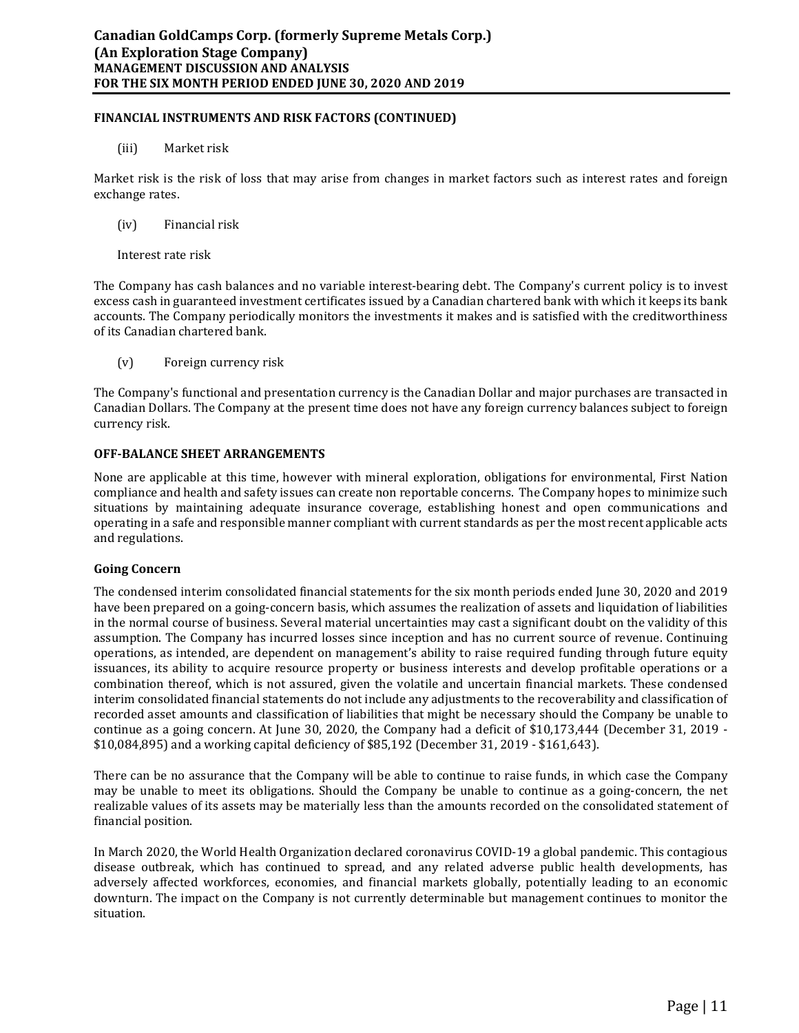### **FINANCIAL INSTRUMENTS AND RISK FACTORS (CONTINUED)**

(iii) Market risk

Market risk is the risk of loss that may arise from changes in market factors such as interest rates and foreign exchange rates.

- (iv) Financial risk
- Interest rate risk

The Company has cash balances and no variable interest-bearing debt. The Company's current policy is to invest excess cash in guaranteed investment certificates issued by a Canadian chartered bank with which it keeps its bank accounts. The Company periodically monitors the investments it makes and is satisfied with the creditworthiness of its Canadian chartered bank.

(v) Foreign currency risk

The Company's functional and presentation currency is the Canadian Dollar and major purchases are transacted in Canadian Dollars. The Company at the present time does not have any foreign currency balances subject to foreign currency risk.

## **OFF-BALANCE SHEET ARRANGEMENTS**

None are applicable at this time, however with mineral exploration, obligations for environmental, First Nation compliance and health and safety issues can create non reportable concerns. The Company hopes to minimize such situations by maintaining adequate insurance coverage, establishing honest and open communications and operating in a safe and responsible manner compliant with current standards as per the most recent applicable acts and regulations.

### **Going Concern**

The condensed interim consolidated financial statements for the six month periods ended June 30, 2020 and 2019 have been prepared on a going-concern basis, which assumes the realization of assets and liquidation of liabilities in the normal course of business. Several material uncertainties may cast a significant doubt on the validity of this assumption. The Company has incurred losses since inception and has no current source of revenue. Continuing operations, as intended, are dependent on management's ability to raise required funding through future equity issuances, its ability to acquire resource property or business interests and develop profitable operations or a combination thereof, which is not assured, given the volatile and uncertain financial markets. These condensed interim consolidated financial statements do not include any adjustments to the recoverability and classification of recorded asset amounts and classification of liabilities that might be necessary should the Company be unable to continue as a going concern. At June 30, 2020, the Company had a deficit of \$10,173,444 (December 31, 2019 - \$10,084,895) and a working capital deficiency of \$85,192 (December 31, 2019 - \$161,643).

There can be no assurance that the Company will be able to continue to raise funds, in which case the Company may be unable to meet its obligations. Should the Company be unable to continue as a going-concern, the net realizable values of its assets may be materially less than the amounts recorded on the consolidated statement of financial position.

In March 2020, the World Health Organization declared coronavirus COVID-19 a global pandemic. This contagious disease outbreak, which has continued to spread, and any related adverse public health developments, has adversely affected workforces, economies, and financial markets globally, potentially leading to an economic downturn. The impact on the Company is not currently determinable but management continues to monitor the situation.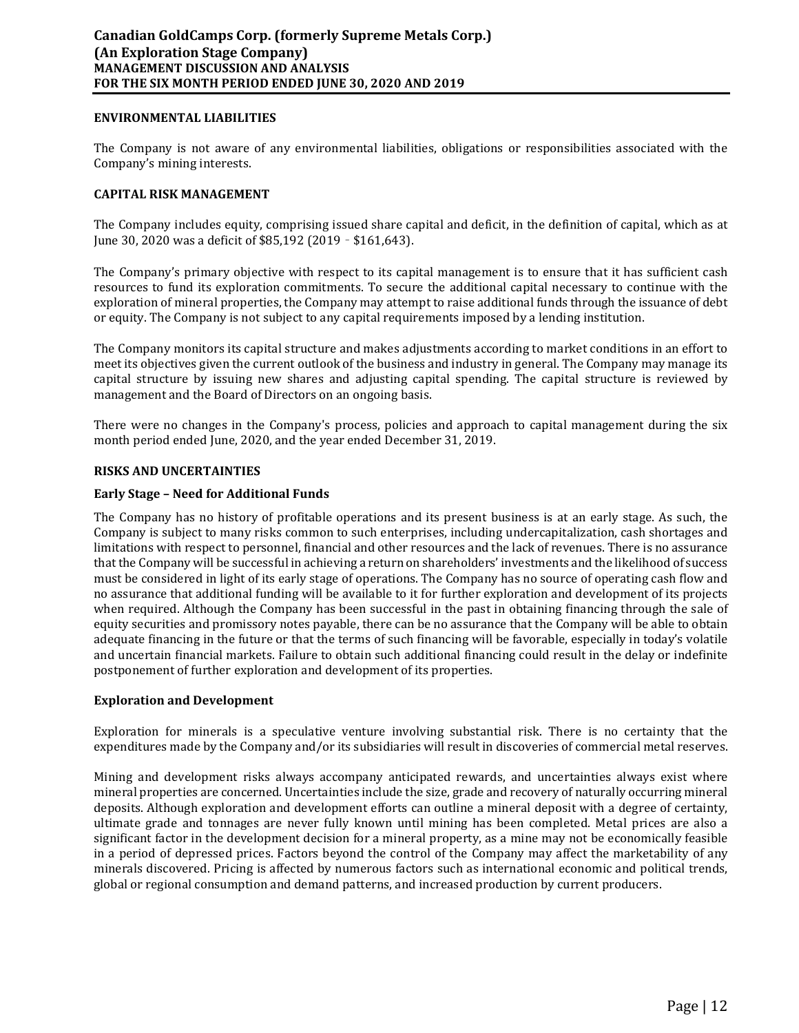### **ENVIRONMENTAL LIABILITIES**

The Company is not aware of any environmental liabilities, obligations or responsibilities associated with the Company's mining interests.

## **CAPITAL RISK MANAGEMENT**

The Company includes equity, comprising issued share capital and deficit, in the definition of capital, which as at June 30, 2020 was a deficit of \$85,192 (2019 – \$161,643).

The Company's primary objective with respect to its capital management is to ensure that it has sufficient cash resources to fund its exploration commitments. To secure the additional capital necessary to continue with the exploration of mineral properties, the Company may attempt to raise additional funds through the issuance of debt or equity. The Company is not subject to any capital requirements imposed by a lending institution.

The Company monitors its capital structure and makes adjustments according to market conditions in an effort to meet its objectives given the current outlook of the business and industry in general. The Company may manage its capital structure by issuing new shares and adjusting capital spending. The capital structure is reviewed by management and the Board of Directors on an ongoing basis.

There were no changes in the Company's process, policies and approach to capital management during the six month period ended June, 2020, and the year ended December 31, 2019.

### **RISKS AND UNCERTAINTIES**

### **Early Stage – Need for Additional Funds**

The Company has no history of profitable operations and its present business is at an early stage. As such, the Company is subject to many risks common to such enterprises, including undercapitalization, cash shortages and limitations with respect to personnel, financial and other resources and the lack of revenues. There is no assurance that the Company will be successful in achieving a return on shareholders' investments and the likelihood of success must be considered in light of its early stage of operations. The Company has no source of operating cash flow and no assurance that additional funding will be available to it for further exploration and development of its projects when required. Although the Company has been successful in the past in obtaining financing through the sale of equity securities and promissory notes payable, there can be no assurance that the Company will be able to obtain adequate financing in the future or that the terms of such financing will be favorable, especially in today's volatile and uncertain financial markets. Failure to obtain such additional financing could result in the delay or indefinite postponement of further exploration and development of its properties.

### **Exploration and Development**

Exploration for minerals is a speculative venture involving substantial risk. There is no certainty that the expenditures made by the Company and/or its subsidiaries will result in discoveries of commercial metal reserves.

Mining and development risks always accompany anticipated rewards, and uncertainties always exist where mineral properties are concerned. Uncertainties include the size, grade and recovery of naturally occurring mineral deposits. Although exploration and development efforts can outline a mineral deposit with a degree of certainty, ultimate grade and tonnages are never fully known until mining has been completed. Metal prices are also a significant factor in the development decision for a mineral property, as a mine may not be economically feasible in a period of depressed prices. Factors beyond the control of the Company may affect the marketability of any minerals discovered. Pricing is affected by numerous factors such as international economic and political trends, global or regional consumption and demand patterns, and increased production by current producers.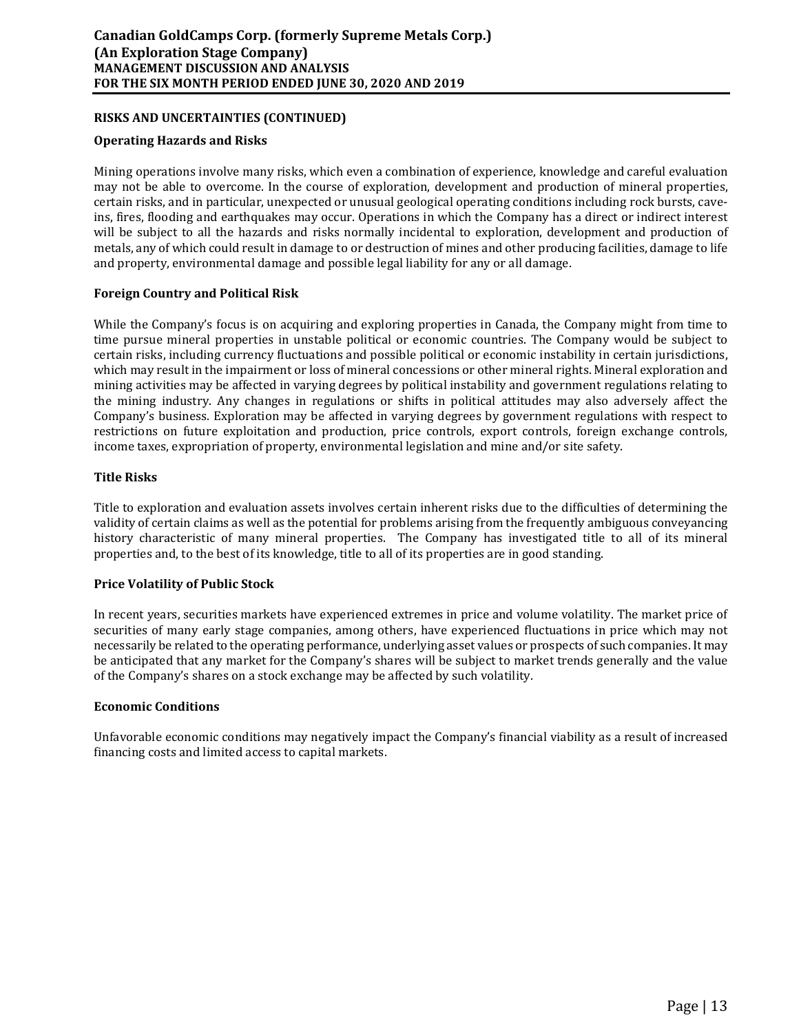## **RISKS AND UNCERTAINTIES (CONTINUED)**

### **Operating Hazards and Risks**

Mining operations involve many risks, which even a combination of experience, knowledge and careful evaluation may not be able to overcome. In the course of exploration, development and production of mineral properties, certain risks, and in particular, unexpected or unusual geological operating conditions including rock bursts, caveins, fires, flooding and earthquakes may occur. Operations in which the Company has a direct or indirect interest will be subject to all the hazards and risks normally incidental to exploration, development and production of metals, any of which could result in damage to or destruction of mines and other producing facilities, damage to life and property, environmental damage and possible legal liability for any or all damage.

## **Foreign Country and Political Risk**

While the Company's focus is on acquiring and exploring properties in Canada, the Company might from time to time pursue mineral properties in unstable political or economic countries. The Company would be subject to certain risks, including currency fluctuations and possible political or economic instability in certain jurisdictions, which may result in the impairment or loss of mineral concessions or other mineral rights. Mineral exploration and mining activities may be affected in varying degrees by political instability and government regulations relating to the mining industry. Any changes in regulations or shifts in political attitudes may also adversely affect the Company's business. Exploration may be affected in varying degrees by government regulations with respect to restrictions on future exploitation and production, price controls, export controls, foreign exchange controls, income taxes, expropriation of property, environmental legislation and mine and/or site safety.

### **Title Risks**

Title to exploration and evaluation assets involves certain inherent risks due to the difficulties of determining the validity of certain claims as well as the potential for problems arising from the frequently ambiguous conveyancing history characteristic of many mineral properties. The Company has investigated title to all of its mineral properties and, to the best of its knowledge, title to all of its properties are in good standing.

### **Price Volatility of Public Stock**

In recent years, securities markets have experienced extremes in price and volume volatility. The market price of securities of many early stage companies, among others, have experienced fluctuations in price which may not necessarily be related to the operating performance, underlying asset values or prospects of such companies. It may be anticipated that any market for the Company's shares will be subject to market trends generally and the value of the Company's shares on a stock exchange may be affected by such volatility.

### **Economic Conditions**

Unfavorable economic conditions may negatively impact the Company's financial viability as a result of increased financing costs and limited access to capital markets.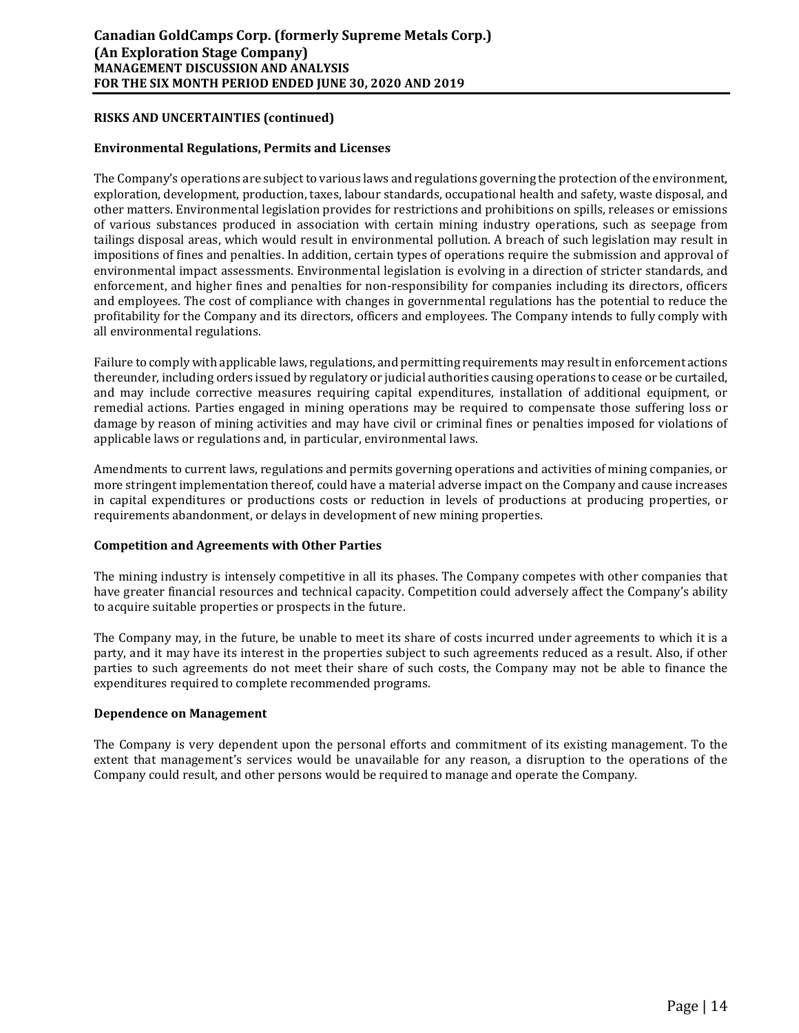## **RISKS AND UNCERTAINTIES (continued)**

### **Environmental Regulations, Permits and Licenses**

The Company's operations are subject to various laws and regulations governing the protection of the environment, exploration, development, production, taxes, labour standards, occupational health and safety, waste disposal, and other matters. Environmental legislation provides for restrictions and prohibitions on spills, releases or emissions of various substances produced in association with certain mining industry operations, such as seepage from tailings disposal areas, which would result in environmental pollution. A breach of such legislation may result in impositions of fines and penalties. In addition, certain types of operations require the submission and approval of environmental impact assessments. Environmental legislation is evolving in a direction of stricter standards, and enforcement, and higher fines and penalties for non-responsibility for companies including its directors, officers and employees. The cost of compliance with changes in governmental regulations has the potential to reduce the profitability for the Company and its directors, officers and employees. The Company intends to fully comply with all environmental regulations.

Failure to comply with applicable laws, regulations, and permitting requirements may result in enforcement actions thereunder, including orders issued by regulatory or judicial authorities causing operations to cease or be curtailed, and may include corrective measures requiring capital expenditures, installation of additional equipment, or remedial actions. Parties engaged in mining operations may be required to compensate those suffering loss or damage by reason of mining activities and may have civil or criminal fines or penalties imposed for violations of applicable laws or regulations and, in particular, environmental laws.

Amendments to current laws, regulations and permits governing operations and activities of mining companies, or more stringent implementation thereof, could have a material adverse impact on the Company and cause increases in capital expenditures or productions costs or reduction in levels of productions at producing properties, or requirements abandonment, or delays in development of new mining properties.

### **Competition and Agreements with Other Parties**

The mining industry is intensely competitive in all its phases. The Company competes with other companies that have greater financial resources and technical capacity. Competition could adversely affect the Company's ability to acquire suitable properties or prospects in the future.

The Company may, in the future, be unable to meet its share of costs incurred under agreements to which it is a party, and it may have its interest in the properties subject to such agreements reduced as a result. Also, if other parties to such agreements do not meet their share of such costs, the Company may not be able to finance the expenditures required to complete recommended programs.

### **Dependence on Management**

The Company is very dependent upon the personal efforts and commitment of its existing management. To the extent that management's services would be unavailable for any reason, a disruption to the operations of the Company could result, and other persons would be required to manage and operate the Company.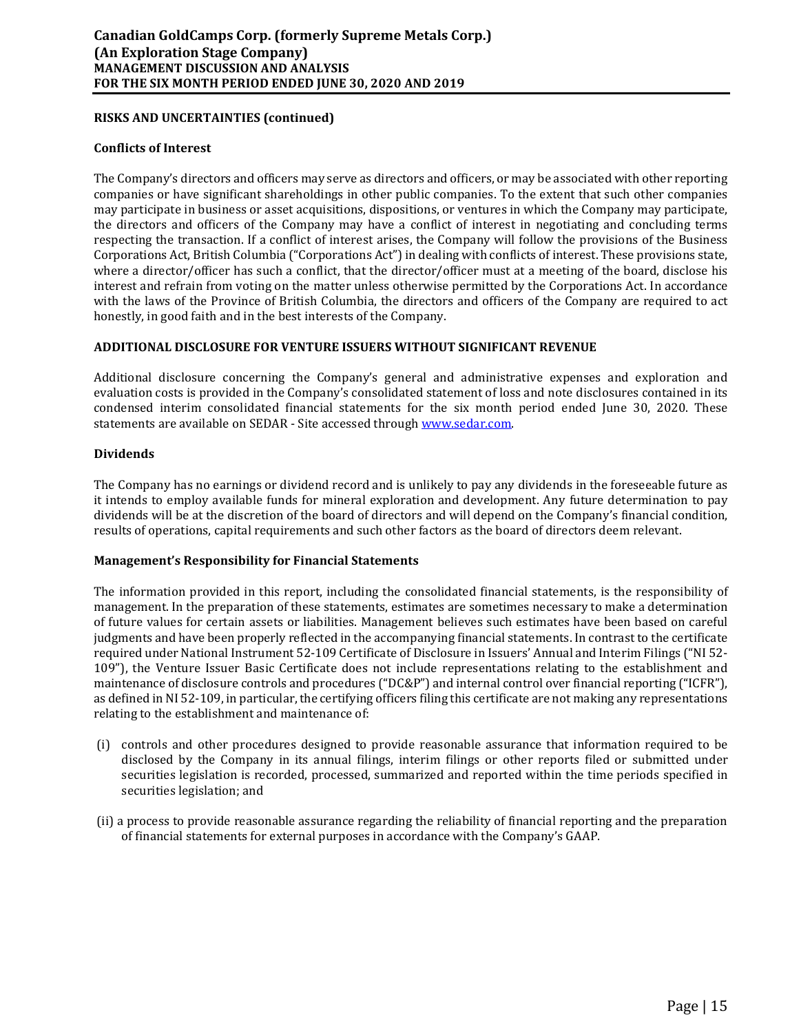### **RISKS AND UNCERTAINTIES (continued)**

### **Conflicts of Interest**

The Company's directors and officers may serve as directors and officers, or may be associated with other reporting companies or have significant shareholdings in other public companies. To the extent that such other companies may participate in business or asset acquisitions, dispositions, or ventures in which the Company may participate, the directors and officers of the Company may have a conflict of interest in negotiating and concluding terms respecting the transaction. If a conflict of interest arises, the Company will follow the provisions of the Business Corporations Act, British Columbia ("Corporations Act") in dealing with conflicts of interest. These provisions state, where a director/officer has such a conflict, that the director/officer must at a meeting of the board, disclose his interest and refrain from voting on the matter unless otherwise permitted by the Corporations Act. In accordance with the laws of the Province of British Columbia, the directors and officers of the Company are required to act honestly, in good faith and in the best interests of the Company.

## **ADDITIONAL DISCLOSURE FOR VENTURE ISSUERS WITHOUT SIGNIFICANT REVENUE**

Additional disclosure concerning the Company's general and administrative expenses and exploration and evaluation costs is provided in the Company's consolidated statement of loss and note disclosures contained in its condensed interim consolidated financial statements for the six month period ended June 30, 2020. These statements are available on SEDAR - Site accessed through www.sedar.com.

### **Dividends**

The Company has no earnings or dividend record and is unlikely to pay any dividends in the foreseeable future as it intends to employ available funds for mineral exploration and development. Any future determination to pay dividends will be at the discretion of the board of directors and will depend on the Company's financial condition, results of operations, capital requirements and such other factors as the board of directors deem relevant.

### **Management's Responsibility for Financial Statements**

The information provided in this report, including the consolidated financial statements, is the responsibility of management. In the preparation of these statements, estimates are sometimes necessary to make a determination of future values for certain assets or liabilities. Management believes such estimates have been based on careful judgments and have been properly reflected in the accompanying financial statements. In contrast to the certificate required under National Instrument 52-109 Certificate of Disclosure in Issuers' Annual and Interim Filings ("NI 52- 109"), the Venture Issuer Basic Certificate does not include representations relating to the establishment and maintenance of disclosure controls and procedures ("DC&P") and internal control over financial reporting ("ICFR"), as defined in NI 52-109, in particular, the certifying officers filing this certificate are not making any representations relating to the establishment and maintenance of:

- (i) controls and other procedures designed to provide reasonable assurance that information required to be disclosed by the Company in its annual filings, interim filings or other reports filed or submitted under securities legislation is recorded, processed, summarized and reported within the time periods specified in securities legislation; and
- (ii) a process to provide reasonable assurance regarding the reliability of financial reporting and the preparation of financial statements for external purposes in accordance with the Company's GAAP.